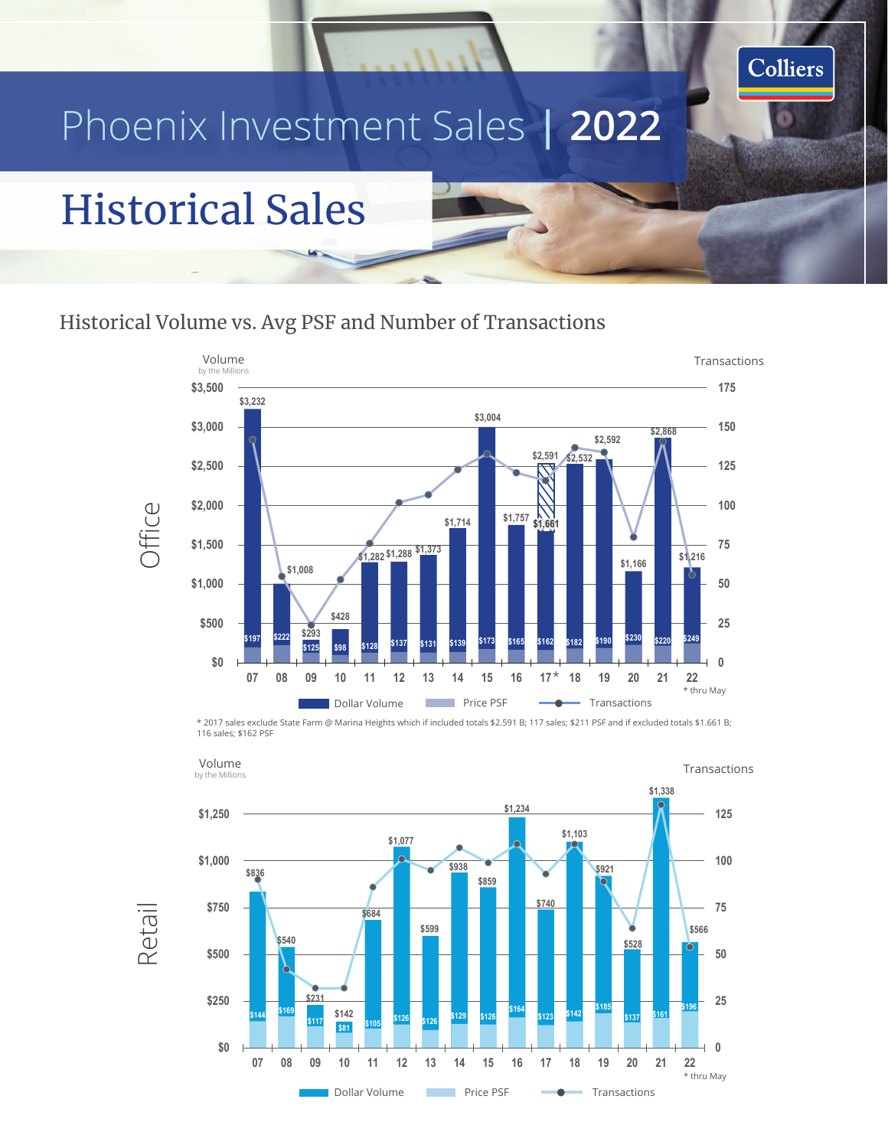# Phoenix Investment Sales **| 2022**

## Historical Sales

#### Historical Volume vs. Avg PSF and Number of Transactions



Colliers

**V V V V C T Transference Transference Transference Transference Transference Transference Transference Transference Transference Transference Transference Transference Transference Tr** \* 2017 sales exclude State Farm @ Marina Heights which if included totals \$2.591 B; 117 sales; \$211 PSF and if excluded totals \$1.661 B; 116 sales; \$162 PSF



Retail